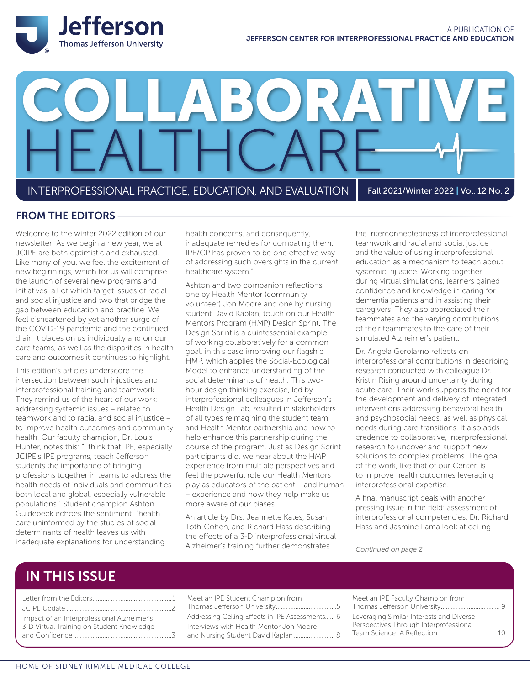

# INTERPROFESSIONAL PRACTICE, EDUCATION, AND EVALUATION Fall 2021/Winter 2022 | Vol. 12 No. 2 LABORATI HEALTHCARE

#### FROM THE EDITORS

Welcome to the winter 2022 edition of our newsletter! As we begin a new year, we at JCIPE are both optimistic and exhausted. Like many of you, we feel the excitement of new beginnings, which for us will comprise the launch of several new programs and initiatives, all of which target issues of racial and social injustice and two that bridge the gap between education and practice. We feel disheartened by yet another surge of the COVID-19 pandemic and the continued drain it places on us individually and on our care teams, as well as the disparities in health care and outcomes it continues to highlight.

This edition's articles underscore the intersection between such injustices and interprofessional training and teamwork. They remind us of the heart of our work: addressing systemic issues – related to teamwork and to racial and social injustice – to improve health outcomes and community health. Our faculty champion, Dr. Louis Hunter, notes this: "I think that IPE, especially JCIPE's IPE programs, teach Jefferson students the importance of bringing professions together in teams to address the health needs of individuals and communities both local and global, especially vulnerable populations." Student champion Ashton Guidebeck echoes the sentiment: "health care uninformed by the studies of social determinants of health leaves us with inadequate explanations for understanding

health concerns, and consequently, inadequate remedies for combating them. IPE/CP has proven to be one effective way of addressing such oversights in the current healthcare system."

Ashton and two companion reflections, one by Health Mentor (community volunteer) Jon Moore and one by nursing student David Kaplan, touch on our Health Mentors Program (HMP) Design Sprint. The Design Sprint is a quintessential example of working collaboratively for a common goal, in this case improving our flagship HMP, which applies the Social-Ecological Model to enhance understanding of the social determinants of health. This twohour design thinking exercise, led by interprofessional colleagues in Jefferson's Health Design Lab, resulted in stakeholders of all types reimagining the student team and Health Mentor partnership and how to help enhance this partnership during the course of the program. Just as Design Sprint participants did, we hear about the HMP experience from multiple perspectives and feel the powerful role our Health Mentors play as educators of the patient – and human – experience and how they help make us more aware of our biases.

An article by Drs. Jeannette Kates, Susan Toth-Cohen, and Richard Hass describing the effects of a 3-D interprofessional virtual Alzheimer's training further demonstrates

the interconnectedness of interprofessional teamwork and racial and social justice and the value of using interprofessional education as a mechanism to teach about systemic injustice. Working together during virtual simulations, learners gained confidence and knowledge in caring for dementia patients and in assisting their caregivers. They also appreciated their teammates and the varying contributions of their teammates to the care of their simulated Alzheimer's patient.

Dr. Angela Gerolamo reflects on interprofessional contributions in describing research conducted with colleague Dr. Kristin Rising around uncertainty during acute care. Their work supports the need for the development and delivery of integrated interventions addressing behavioral health and psychosocial needs, as well as physical needs during care transitions. It also adds credence to collaborative, interprofessional research to uncover and support new solutions to complex problems. The goal of the work, like that of our Center, is to improve health outcomes leveraging interprofessional expertise.

A final manuscript deals with another pressing issue in the field: assessment of interprofessional competencies. Dr. Richard Hass and Jasmine Lama look at ceiling

*Continued on page 2*

### IN THIS ISSUE

| Impact of an Interprofessional Alzheimer's |  |
|--------------------------------------------|--|
| 3-D Virtual Training on Student Knowledge  |  |
|                                            |  |

Meet an IPE Student Champion from Thomas Jefferson University.....................................5

Addressing Ceiling Effects in IPE Assessments...... 6 Interviews with Health Mentor Jon Moore ...3 and Nursing Student David Kaplan ............................... 8 Meet an IPE Faculty Champion from Thomas Jefferson University.................................... 9 Leveraging Similar Interests and Diverse Perspectives Through Interprofessional Team Science: A Reflection.................................... 10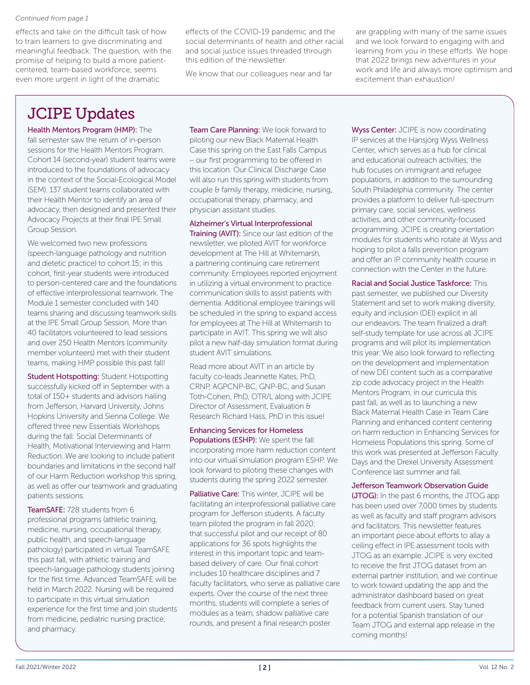#### *Continued from page 1*

effects and take on the difficult task of how to train learners to give discriminating and meaningful feedback. The question, with the promise of helping to build a more patientcentered, team-based workforce, seems even more urgent in light of the dramatic

effects of the COVID-19 pandemic and the social determinants of health and other racial and social justice issues threaded through this edition of the newsletter.

We know that our colleagues near and far

are grappling with many of the same issues and we look forward to engaging with and learning from you in these efforts. We hope that 2022 brings new adventures in your work and life and always more optimism and excitement than exhaustion!

# JCIPE Updates

Health Mentors Program (HMP): The fall semester saw the return of in-person sessions for the Health Mentors Program. Cohort 14 (second-year) student teams were introduced to the foundations of advocacy in the context of the Social-Ecological Model (SEM). 137 student teams collaborated with their Health Mentor to identify an area of advocacy, then designed and presented their Advocacy Projects at their final IPE Small Group Session.

We welcomed two new professions (speech-language pathology and nutrition and dietetic practice) to cohort 15; in this cohort, first-year students were introduced to person-centered care and the foundations of effective interprofessional teamwork. The Module 1 semester concluded with 140 teams sharing and discussing teamwork skills at the IPE Small Group Session. More than 40 facilitators volunteered to lead sessions and over 250 Health Mentors (community member volunteers) met with their student teams, making HMP possible this past fall!

**Student Hotspotting: Student Hotspotting** successfully kicked off in September with a total of 150+ students and advisors hailing from Jefferson, Harvard University, Johns Hopkins University and Sienna College. We offered three new Essentials Workshops during the fall: Social Determinants of Health, Motivational Interviewing and Harm Reduction. We are looking to include patient boundaries and limitations in the second half of our Harm Reduction workshop this spring, as well as offer our teamwork and graduating patients sessions.

TeamSAFE: 728 students from 6 professional programs (athletic training, medicine, nursing, occupational therapy, public health, and speech-language pathology) participated in virtual TeamSAFE this past fall, with athletic training and speech-language pathology students joining for the first time. Advanced TeamSAFE will be held in March 2022. Nursing will be required to participate in this virtual simulation experience for the first time and join students from medicine, pediatric nursing practice, and pharmacy.

Team Care Planning: We look forward to piloting our new Black Maternal Health Case this spring on the East Falls Campus – our first programming to be offered in this location. Our Clinical Discharge Case will also run this spring with students from couple & family therapy, medicine, nursing, occupational therapy, pharmacy, and physician assistant studies.

Alzheimer's Virtual Interprofessional Training (AVIT): Since our last edition of the newsletter, we piloted AVIT for workforce development at The Hill at Whitemarsh, a partnering continuing care retirement community. Employees reported enjoyment in utilizing a virtual environment to practice communication skills to assist patients with dementia. Additional employee trainings will be scheduled in the spring to expand access for employees at The Hill at Whitemarsh to participate in AVIT. This spring we will also pilot a new half-day simulation format during student AVIT simulations.

Read more about AVIT in an article by faculty co-leads Jeannette Kates, PhD, CRNP, AGPCNP-BC, GNP-BC, and Susan Toth-Cohen, PhD, OTR/L along with JCIPE Director of Assessment, Evaluation & Research Richard Hass, PhD in this issue!

#### Enhancing Services for Homeless Populations (ESHP): We spent the fall

incorporating more harm reduction content into our virtual simulation program ESHP. We look forward to piloting these changes with students during the spring 2022 semester.

Palliative Care: This winter, JCIPF will be facilitating an interprofessional palliative care program for Jefferson students. A faculty team piloted the program in fall 2020; that successful pilot and our receipt of 80 applications for 36 spots highlights the interest in this important topic and teambased delivery of care. Our final cohort includes 10 healthcare disciplines and 7 faculty facilitators, who serve as palliative care experts. Over the course of the next three months, students will complete a series of modules as a team, shadow palliative care rounds, and present a final research poster.

Wyss Center: JCIPE is now coordinating IP services at the Hansjörg Wyss Wellness Center, which serves as a hub for clinical and educational outreach activities; the hub focuses on immigrant and refugee populations, in addition to the surrounding South Philadelphia community. The center provides a platform to deliver full-spectrum primary care, social services, wellness activities, and other community-focused programming. JCIPE is creating orientation modules for students who rotate at Wyss and hoping to pilot a falls prevention program and offer an IP community health course in connection with the Center in the future.

Racial and Social Justice Taskforce: This past semester, we published our Diversity Statement and set to work making diversity, equity and inclusion (DEI) explicit in all our endeavors. The team finalized a draft self-study template for use across all JCIPE programs and will pilot its implementation this year. We also look forward to reflecting on the development and implementation of new DEI content such as a comparative zip code advocacy project in the Health Mentors Program, in our curricula this past fall, as well as to launching a new Black Maternal Health Case in Team Care Planning and enhanced content centering on harm reduction in Enhancing Services for Homeless Populations this spring. Some of this work was presented at Jefferson Faculty Days and the Drexel University Assessment Conference last summer and fall.

#### Jefferson Teamwork Observation Guide

(JTOG): In the past 6 months, the JTOG app has been used over 7,000 times by students as well as faculty and staff program advisors and facilitators. This newsletter features an important piece about efforts to allay a ceiling effect in IPE assessment tools with JTOG as an example. JCIPE is very excited to receive the first JTOG dataset from an external partner institution, and we continue to work toward updating the app and the administrator dashboard based on great feedback from current users. Stay tuned for a potential Spanish translation of our Team JTOG and external app release in the coming months!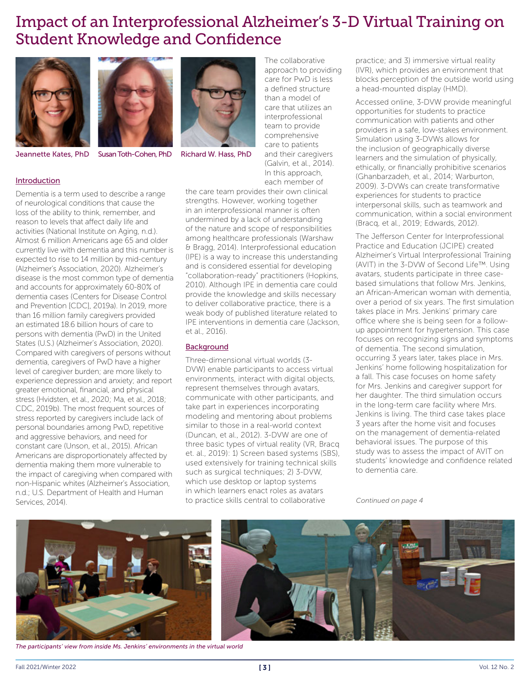## Impact of an Interprofessional Alzheimer's 3-D Virtual Training on Student Knowledge and Confidence





Jeannette Kates, PhD Susan Toth-Cohen, PhD Richard W. Hass, PhD

The collaborative approach to providing care for PwD is less a defined structure than a model of care that utilizes an interprofessional team to provide comprehensive care to patients and their caregivers (Galvin, et al., 2014). In this approach, each member of

Introduction

Dementia is a term used to describe a range of neurological conditions that cause the loss of the ability to think, remember, and reason to levels that affect daily life and activities (National Institute on Aging, n.d.). Almost 6 million Americans age 65 and older currently live with dementia and this number is expected to rise to 14 million by mid-century (Alzheimer's Association, 2020). Alzheimer's disease is the most common type of dementia and accounts for approximately 60-80% of dementia cases (Centers for Disease Control and Prevention [CDC], 2019a). In 2019, more than 16 million family caregivers provided an estimated 18.6 billion hours of care to persons with dementia (PwD) in the United States (U.S.) (Alzheimer's Association, 2020). Compared with caregivers of persons without dementia, caregivers of PwD have a higher level of caregiver burden; are more likely to experience depression and anxiety; and report greater emotional, financial, and physical stress (Hvidsten, et al., 2020; Ma, et al., 2018; CDC, 2019b). The most frequent sources of stress reported by caregivers include lack of personal boundaries among PwD, repetitive and aggressive behaviors, and need for constant care (Unson, et al., 2015). African Americans are disproportionately affected by dementia making them more vulnerable to the impact of caregiving when compared with non-Hispanic whites (Alzheimer's Association, n.d.; U.S. Department of Health and Human Services, 2014).

the care team provides their own clinical strengths. However, working together in an interprofessional manner is often undermined by a lack of understanding of the nature and scope of responsibilities among healthcare professionals (Warshaw & Bragg, 2014). Interprofessional education (IPE) is a way to increase this understanding and is considered essential for developing "collaboration-ready" practitioners (Hopkins, 2010). Although IPE in dementia care could provide the knowledge and skills necessary to deliver collaborative practice, there is a weak body of published literature related to IPE interventions in dementia care (Jackson, et al., 2016).

#### **Background**

Three-dimensional virtual worlds (3- DVW) enable participants to access virtual environments, interact with digital objects, represent themselves through avatars, communicate with other participants, and take part in experiences incorporating modeling and mentoring about problems similar to those in a real-world context (Duncan, et al., 2012). 3-DVW are one of three basic types of virtual reality (VR, Bracq et. al., 2019): 1) Screen based systems (SBS), used extensively for training technical skills such as surgical techniques; 2) 3-DVW, which use desktop or laptop systems in which learners enact roles as avatars to practice skills central to collaborative

practice; and 3) immersive virtual reality (IVR), which provides an environment that blocks perception of the outside world using a head-mounted display (HMD).

Accessed online, 3-DVW provide meaningful opportunities for students to practice communication with patients and other providers in a safe, low-stakes environment. Simulation using 3-DVWs allows for the inclusion of geographically diverse learners and the simulation of physically, ethically, or financially prohibitive scenarios (Ghanbarzadeh, et al., 2014; Warburton, 2009). 3-DVWs can create transformative experiences for students to practice interpersonal skills, such as teamwork and communication, within a social environment (Bracq, et al., 2019; Edwards, 2012).

The Jefferson Center for Interprofessional Practice and Education (JCIPE) created Alzheimer's Virtual Interprofessional Training (AVIT) in the 3-DVW of Second Life™. Using avatars, students participate in three casebased simulations that follow Mrs. Jenkins, an African-American woman with dementia, over a period of six years. The first simulation takes place in Mrs. Jenkins' primary care office where she is being seen for a followup appointment for hypertension. This case focuses on recognizing signs and symptoms of dementia. The second simulation, occurring 3 years later, takes place in Mrs. Jenkins' home following hospitalization for a fall. This case focuses on home safety for Mrs. Jenkins and caregiver support for her daughter. The third simulation occurs in the long-term care facility where Mrs. Jenkins is living. The third case takes place 3 years after the home visit and focuses on the management of dementia-related behavioral issues. The purpose of this study was to assess the impact of AVIT on students' knowledge and confidence related to dementia care.

*Continued on page 4*



*The participants' view from inside Ms. Jenkins' environments in the virtual world*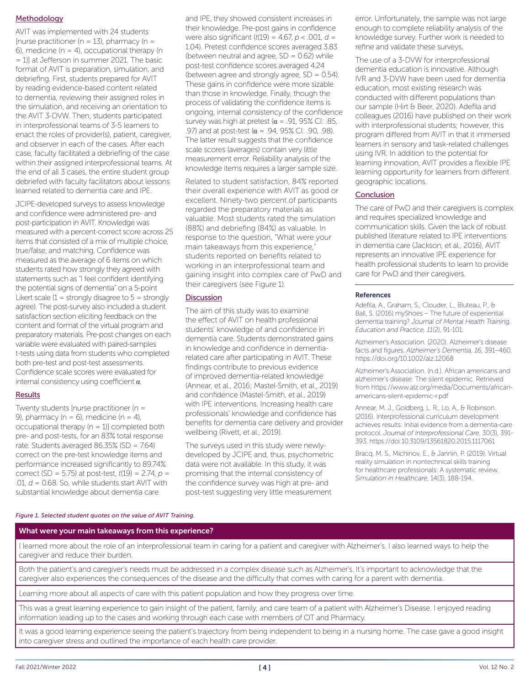#### **Methodology**

AVIT was implemented with 24 students  $[$ nurse practitioner (n = 13), pharmacy (n = 6), medicine ( $n = 4$ ), occupational therapy ( $n = 6$ ) = 1)] at Jefferson in summer 2021. The basic format of AVIT is preparation, simulation, and debriefing. First, students prepared for AVIT by reading evidence-based content related to dementia, reviewing their assigned roles in the simulation, and receiving an orientation to the AVIT 3-DVW. Then, students participated in interprofessional teams of 3-5 learners to enact the roles of provider(s), patient, caregiver, and observer in each of the cases. After each case, faculty facilitated a debriefing of the case within their assigned interprofessional teams. At the end of all 3 cases, the entire student group debriefed with faculty facilitators about lessons learned related to dementia care and IPE.

JCIPE-developed surveys to assess knowledge and confidence were administered pre- and post-participation in AVIT. Knowledge was measured with a percent-correct score across 25 items that consisted of a mix of multiple choice, true/false, and matching. Confidence was measured as the average of 6 items on which students rated how strongly they agreed with statements such as "I feel confident identifying the potential signs of dementia" on a 5-point Likert scale  $(1 =$  strongly disagree to  $5 =$  strongly agree). The post-survey also included a student satisfaction section eliciting feedback on the content and format of the virtual program and preparatory materials. Pre-post changes on each variable were evaluated with paired-samples t-tests using data from students who completed both pre-test and post-test assessments. Confidence scale scores were evaluated for internal consistency using coefficient  $\alpha$ .

#### **Results**

Twenty students [nurse practitioner (n = 9), pharmacy ( $n = 6$ ), medicine ( $n = 4$ ), occupational therapy  $(n = 1)$ ] completed both pre- and post-tests, for an 83% total response rate. Students averaged 86.35% (SD = 7.64) correct on the pre-test knowledge items and performance increased significantly to 89.74% correct (SD = 5.75) at post-test, *t*(19) = 2.74, *p* = .01, *d* = 0.68. So, while students start AVIT with substantial knowledge about dementia care

and IPE, they showed consistent increases in their knowledge. Pre-post gains in confidence were also significant (*t*(19) = 4.67, *p* < .001, *d* = 1.04). Pretest confidence scores averaged 3.83 (between neutral and agree,  $SD = 0.62$ ) while post-test confidence scores averaged 4.24 (between agree and strongly agree, SD = 0.54). These gains in confidence were more sizable than those in knowledge. Finally, though the process of validating the confidence items is ongoing, internal consistency of the confidence survey was high at pretest ( $\alpha$  = .91, 95% CI: .85, .97) and at post-test ( $\alpha$  = .94, 95% CI: .90, .98). The latter result suggests that the confidence scale scores (averages) contain very little measurement error. Reliability analysis of the knowledge items requires a larger sample size.

Related to student satisfaction, 84% reported their overall experience with AVIT as good or excellent. Ninety-two percent of participants regarded the preparatory materials as valuable. Most students rated the simulation (88%) and debriefing (84%) as valuable. In response to the question, "What were your main takeaways from this experience," students reported on benefits related to working in an interprofessional team and gaining insight into complex care of PwD and their caregivers (see Figure 1).

#### **Discussion**

The aim of this study was to examine the effect of AVIT on health professional students' knowledge of and confidence in dementia care. Students demonstrated gains in knowledge and confidence in dementiarelated care after participating in AVIT. These findings contribute to previous evidence of improved dementia-related knowledge (Annear, et al., 2016; Mastel-Smith, et al., 2019) and confidence (Mastel-Smith, et al., 2019) with IPE interventions. Increasing health care professionals' knowledge and confidence has benefits for dementia care delivery and provider wellbeing (Rivett, et al., 2019).

The surveys used in this study were newlydeveloped by JCIPE and, thus, psychometric data were not available. In this study, it was promising that the internal consistency of the confidence survey was high at pre- and post-test suggesting very little measurement

error. Unfortunately, the sample was not large enough to complete reliability analysis of the knowledge survey. Further work is needed to refine and validate these surveys.

The use of a 3-DVW for interprofessional dementia education is innovative. Although IVR and 3-DVW have been used for dementia education, most existing research was conducted with different populations than our sample (Hirt & Beer, 2020). Adefila and colleagues (2016) have published on their work with interprofessional students; however, this program differed from AVIT in that it immersed learners in sensory and task-related challenges using IVR. In addition to the potential for learning innovation, AVIT provides a flexible IPE learning opportunity for learners from different geographic locations.

#### Conclusion

The care of PwD and their caregivers is complex and requires specialized knowledge and communication skills. Given the lack of robust published literature related to IPE interventions in dementia care (Jackson, et al., 2016), AVIT represents an innovative IPE experience for health professional students to learn to provide care for PwD and their caregivers.

#### References

Adefila, A., Graham, S., Clouder, L., Bluteau, P., & Ball, S. (2016) myShoes – The future of experiential dementia training? *Journal of Mental Health Training, Education and Practice, 11*(2), 91-101.

Alzheimer's Association. (2020). Alzheimer's disease facts and figures. *Alzheimer's Dementia, 16*, 391–460. https://doi.org/10.1002/alz.12068

Alzheimer's Association. (n.d.). African americans and alzheimer's disease: The silent epidemic. Retrieved from https://www.alz.org/media/Documents/africanamericans-silent-epidemic-r.pdf

Annear, M. J., Goldberg, L. R., Lo, A., & Robinson. (2016). Interprofessional curriculum development achieves results: Initial evidence from a dementia-care protocol. *Journal of Interprofessional Care*, 30(3), 391- 393. https://doi:10.3109/13561820.2015.1117061

Bracq, M. S., Michinov, E., & Jannin, P. (2019). Virtual reality simulation in nontechnical skills training for healthcare professionals: A systematic review. *Simulation in Healthcare*, 14(3), 188-194.

#### *Figure 1. Selected student quotes on the value of AVIT Training.*

#### What were your main takeaways from this experience?

I learned more about the role of an interprofessional team in caring for a patient and caregiver with Alzheimer's. I also learned ways to help the caregiver and reduce their burden.

Both the patient's and caregiver's needs must be addressed in a complex disease such as Alzheimer's. It's important to acknowledge that the caregiver also experiences the consequences of the disease and the difficulty that comes with caring for a parent with dementia.

Learning more about all aspects of care with this patient population and how they progress over time.

This was a great learning experience to gain insight of the patient, family, and care team of a patient with Alzheimer's Disease. I enjoyed reading information leading up to the cases and working through each case with members of OT and Pharmacy.

It was a good learning experience seeing the patient's trajectory from being independent to being in a nursing home. The case gave a good insight into caregiver stress and outlined the importance of each health care provider.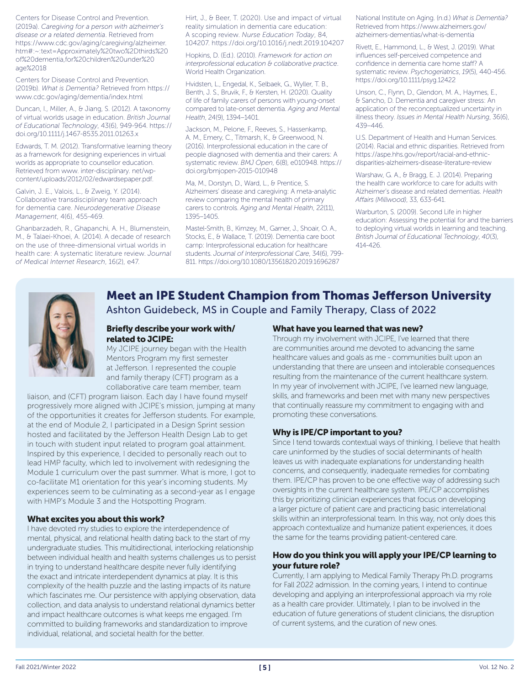Centers for Disease Control and Prevention. (2019a). *Caregiving for a person with alzheimer's disease or a related dementia*. Retrieved from https://www.cdc.gov/aging/caregiving/alzheimer. htm#:~:text=Approximately%20two%2Dthirds%20 of%20dementia,for%20children%20under%20 age%2018

Centers for Disease Control and Prevention. (2019b). *What is Dementia?* Retrieved from https:// www.cdc.gov/aging/dementia/index.html

Duncan, I., Miller, A., & Jiang, S. (2012). A taxonomy of virtual worlds usage in education. *British Journal of Educational Technology*, 43(6), 949-964. https:// doi.org/10.1111/j.1467-8535.2011.01263.x

Edwards, T. M. (2012). Transformative learning theory as a framework for designing experiences in virtual worlds as appropriate to counsellor education. Retrieved from www. inter-disciplinary. net/wpcontent/uploads/2012/02/edwardsepaper.pdf.

Galvin, J. E., Valois, L., & Zweig, Y. (2014). Collaborative transdisciplinary team approach for dementia care. *Neurodegenerative Disease Management*, 4(6), 455-469.

Ghanbarzadeh, R., Ghapanchi, A. H., Blumenstein, M., & Talaei-Khoei, A. (2014). A decade of research on the use of three-dimensional virtual worlds in health care: A systematic literature review. *Journal of Medical Internet Research*, 16(2), e47.

Hirt, J., & Beer, T. (2020). Use and impact of virtual reality simulation in dementia care education: A scoping review. *Nurse Education Today*, 84, 104207. https://doi.org/10.1016/j.nedt.2019.104207

Hopkins, D. (Ed.). (2010). *Framework for action on interprofessional education & collaborative practice*. World Health Organization.

Hvidsten, L., Engedal, K., Selbaek, G., Wyller, T. B., Benth, J. S., Bruvik, F., & Kersten, H. (2020). Quality of life of family carers of persons with young-onset compared to late-onset dementia. *Aging and Mental Health*, 24(9), 1394–1401.

Jackson, M., Pelone, F., Reeves, S., Hassenkamp, A. M., Emery, C., Titmarsh, K., & Greenwood, N. (2016). Interprofessional education in the care of people diagnosed with dementia and their carers: A systematic review. *BMJ Open*, 6(8), e010948. https:// doi.org/bmjopen-2015-010948

Ma, M., Dorstyn, D., Ward, L., & Prentice, S. Alzheimers' disease and caregiving: A meta-analytic review comparing the mental health of primary carers to controls. *Aging and Mental Health*, 22(11), 1395–1405.

Mastel-Smith, B., Kimzey, M., Garner, J., Shoair, O. A., Stocks, E., & Wallace, T. (2019). Dementia care boot camp: Interprofessional education for healthcare students. *Journal of Interprofessional Care*, 34(6), 799- 811. https://doi.org/10.1080/13561820.2019.1696287

National Institute on Aging. (n.d.) *What is Dementia?* Retrieved from https://www.alzheimers.gov/ alzheimers-dementias/what-is-dementia

Rivett, E., Hammond, L., & West, J. (2019). What influences self-perceived competence and confidence in dementia care home staff? A systematic review. *Psychogeriatrics*, *19*(5), 440-456. https://doi.org/10.1111/psyg.12422

Unson, C., Flynn, D., Glendon, M. A., Haymes, E., & Sancho, D. Dementia and caregiver stress: An application of the reconceptualized uncertainty in illness theory. *Issues in Mental Health Nursing*, 36(6), 439–446.

U.S. Department of Health and Human Services. (2014). Racial and ethnic disparities. Retrieved from https://aspe.hhs.gov/report/racial-and-ethnicdisparities-alzheimers-disease-literature-review

Warshaw, G. A., & Bragg, E. J. (2014). Preparing the health care workforce to care for adults with Alzheimer's disease and related dementias. *Health Affairs (Millwood)*, 33, 633-641.

Warburton, S. (2009). Second Life in higher education: Assessing the potential for and the barriers to deploying virtual worlds in learning and teaching. *British Journal of Educational Technology*, *40*(3), 414-426.



#### Meet an IPE Student Champion from Thomas Jefferson University Ashton Guidebeck, MS in Couple and Family Therapy, Class of 2022

#### Briefly describe your work with/ related to JCIPE:

My JCIPE journey began with the Health Mentors Program my first semester at Jefferson. I represented the couple and family therapy (CFT) program as a collaborative care team member, team

liaison, and (CFT) program liaison. Each day I have found myself progressively more aligned with JCIPE's mission, jumping at many of the opportunities it creates for Jefferson students. For example, at the end of Module 2, I participated in a Design Sprint session hosted and facilitated by the Jefferson Health Design Lab to get in touch with student input related to program goal attainment. Inspired by this experience, I decided to personally reach out to lead HMP faculty, which led to involvement with redesigning the Module 1 curriculum over the past summer. What is more, I got to co-facilitate M1 orientation for this year's incoming students. My experiences seem to be culminating as a second-year as I engage with HMP's Module 3 and the Hotspotting Program.

#### What excites you about this work?

I have devoted my studies to explore the interdependence of mental, physical, and relational health dating back to the start of my undergraduate studies. This multidirectional, interlocking relationship between individual health and health systems challenges us to persist in trying to understand healthcare despite never fully identifying the exact and intricate interdependent dynamics at play. It is this complexity of the health puzzle and the lasting impacts of its nature which fascinates me. Our persistence with applying observation, data collection, and data analysis to understand relational dynamics better and impact healthcare outcomes is what keeps me engaged. I'm committed to building frameworks and standardization to improve individual, relational, and societal health for the better.

#### What have you learned that was new?

Through my involvement with JCIPE, I've learned that there are communities around me devoted to advancing the same healthcare values and goals as me - communities built upon an understanding that there are unseen and intolerable consequences resulting from the maintenance of the current healthcare system. In my year of involvement with JCIPE, I've learned new language, skills, and frameworks and been met with many new perspectives that continually reassure my commitment to engaging with and promoting these conversations.

#### Why is IPE/CP important to you?

Since I tend towards contextual ways of thinking, I believe that health care uninformed by the studies of social determinants of health leaves us with inadequate explanations for understanding health concerns, and consequently, inadequate remedies for combating them. IPE/CP has proven to be one effective way of addressing such oversights in the current healthcare system. IPE/CP accomplishes this by prioritizing clinician experiences that focus on developing a larger picture of patient care and practicing basic interrelational skills within an interprofessional team. In this way, not only does this approach contextualize and humanize patient experiences, it does the same for the teams providing patient-centered care.

#### How do you think you will apply your IPE/CP learning to your future role?

Currently, I am applying to Medical Family Therapy Ph.D. programs for Fall 2022 admission. In the coming years, I intend to continue developing and applying an interprofessional approach via my role as a health care provider. Ultimately, I plan to be involved in the education of future generations of student clinicians, the disruption of current systems, and the curation of new ones.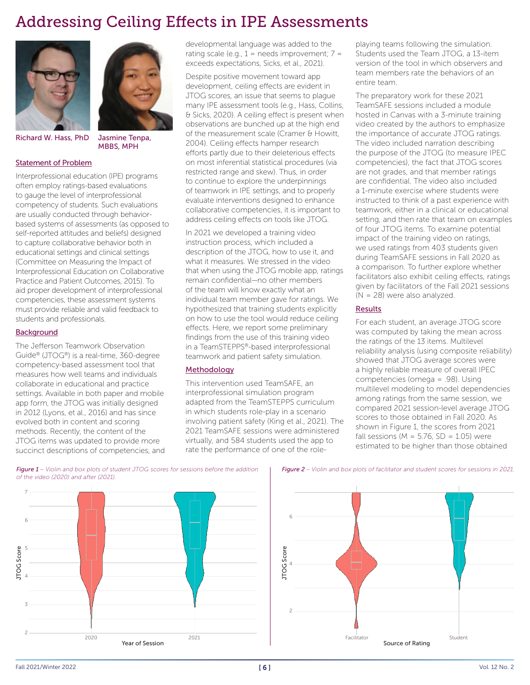# Addressing Ceiling Effects in IPE Assessments





MBBS, MPH

Richard W. Hass, PhD Jasmine Tenpa,

#### Statement of Problem

Interprofessional education (IPE) programs often employ ratings-based evaluations to gauge the level of interprofessional competency of students. Such evaluations are usually conducted through behaviorbased systems of assessments (as opposed to self-reported attitudes and beliefs) designed to capture collaborative behavior both in educational settings and clinical settings (Committee on Measuring the Impact of Interprofessional Education on Collaborative Practice and Patient Outcomes, 2015). To aid proper development of interprofessional competencies, these assessment systems must provide reliable and valid feedback to students and professionals.

#### **Background**

The Jefferson Teamwork Observation Guide® (JTOG®) is a real-time, 360-degree competency-based assessment tool that measures how well teams and individuals collaborate in educational and practice settings. Available in both paper and mobile app form, the JTOG was initially designed in 2012 (Lyons, et al., 2016) and has since evolved both in content and scoring methods. Recently, the content of the JTOG items was updated to provide more succinct descriptions of competencies, and developmental language was added to the rating scale (e.g.,  $1 =$  needs improvement;  $7 =$ exceeds expectations, Sicks, et al., 2021).

Despite positive movement toward app development, ceiling effects are evident in JTOG scores, an issue that seems to plague many IPE assessment tools (e.g., Hass, Collins, & Sicks, 2020). A ceiling effect is present when observations are bunched up at the high end of the measurement scale (Cramer & Howitt, 2004). Ceiling effects hamper research efforts partly due to their deleterious effects on most inferential statistical procedures (via restricted range and skew). Thus, in order to continue to explore the underpinnings of teamwork in IPE settings, and to properly evaluate interventions designed to enhance collaborative competencies, it is important to address ceiling effects on tools like JTOG.

In 2021 we developed a training video instruction process, which included a description of the JTOG, how to use it, and what it measures. We stressed in the video that when using the JTOG mobile app, ratings remain confidential—no other members of the team will know exactly what an individual team member gave for ratings. We hypothesized that training students explicitly on how to use the tool would reduce ceiling effects. Here, we report some preliminary findings from the use of this training video in a TeamSTEPPS®-based interprofessional teamwork and patient safety simulation.

#### Methodology

This intervention used TeamSAFE, an interprofessional simulation program adapted from the TeamSTEPPS curriculum in which students role-play in a scenario involving patient safety (King et al., 2021). The 2021 TeamSAFE sessions were administered virtually, and 584 students used the app to rate the performance of one of the roleplaying teams following the simulation. Students used the Team JTOG, a 13-item version of the tool in which observers and team members rate the behaviors of an entire team.

The preparatory work for these 2021 TeamSAFE sessions included a module hosted in Canvas with a 3-minute training video created by the authors to emphasize the importance of accurate JTOG ratings. The video included narration describing the purpose of the JTOG (to measure IPEC competencies), the fact that JTOG scores are not grades, and that member ratings are confidential. The video also included a 1-minute exercise where students were instructed to think of a past experience with teamwork, either in a clinical or educational setting, and then rate that team on examples of four JTOG items. To examine potential impact of the training video on ratings, we used ratings from 403 students given during TeamSAFE sessions in Fall 2020 as a comparison. To further explore whether facilitators also exhibit ceiling effects, ratings given by facilitators of the Fall 2021 sessions (N = 28) were also analyzed.

#### **Results**

For each student, an average JTOG score was computed by taking the mean across the ratings of the 13 items. Multilevel reliability analysis (using composite reliability) showed that JTOG average scores were a highly reliable measure of overall IPEC competencies (omega = .98). Using multilevel modeling to model dependencies among ratings from the same session, we compared 2021 session-level average JTOG scores to those obtained in Fall 2020. As shown in Figure 1, the scores from 2021 fall sessions ( $M = 5.76$ ,  $SD = 1.05$ ) were estimated to be higher than those obtained



*Figure 1 – Violin and box plots of student JTOG scores for sessions before the addition of the video (2020) and after (2021).*

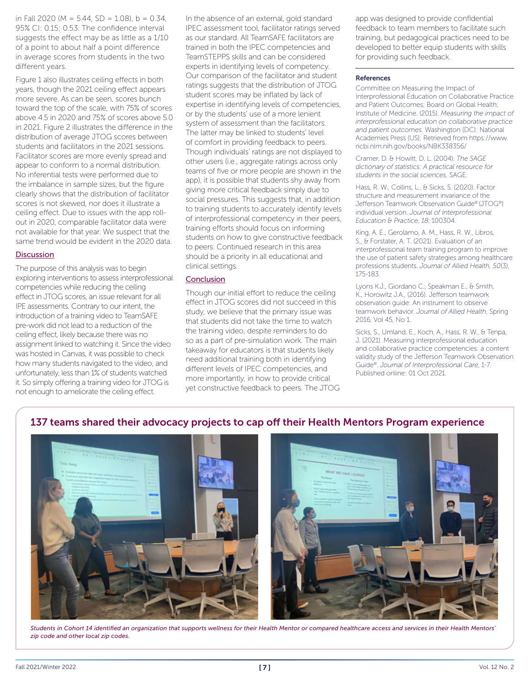in Fall 2020 (M =  $5.44$ , SD =  $1.08$ ), b = 0.34, 95% CI: 0.15; 0.53. The confidence interval suggests the effect may be as little as a 1/10 of a point to about half a point difference in average scores from students in the two different years.

Figure 1 also illustrates ceiling effects in both years, though the 2021 ceiling effect appears more severe. As can be seen, scores bunch toward the top of the scale, with 75% of scores above 4.5 in 2020 and 75% of scores above 5.0 in 2021. Figure 2 illustrates the difference in the distribution of average JTOG scores between students and facilitators in the 2021 sessions. Facilitator scores are more evenly spread and appear to conform to a normal distribution. No inferential tests were performed due to the imbalance in sample sizes, but the figure clearly shows that the distribution of facilitator scores is not skewed, nor does it illustrate a ceiling effect. Due to issues with the app rollout in 2020, comparable facilitator data were not available for that year. We suspect that the same trend would be evident in the 2020 data.

#### **Discussion**

The purpose of this analysis was to begin exploring interventions to assess interprofessional competencies while reducing the ceiling effect in JTOG scores, an issue relevant for all IPE assessments. Contrary to our intent, the introduction of a training video to TeamSAFE pre-work did not lead to a reduction of the ceiling effect, likely because there was no assignment linked to watching it. Since the video was hosted in Canvas, it was possible to check how many students navigated to the video, and unfortunately, less than 1% of students watched it. So simply offering a training video for JTOG is not enough to ameliorate the ceiling effect.

In the absence of an external, gold standard IPEC assessment tool, facilitator ratings served as our standard. All TeamSAFE facilitators are trained in both the IPEC competencies and TeamSTEPPS skills and can be considered experts in identifying levels of competency. Our comparison of the facilitator and student ratings suggests that the distribution of JTOG student scores may be inflated by lack of expertise in identifying levels of competencies, or by the students' use of a more lenient system of assessment than the facilitators. The latter may be linked to students' level of comfort in providing feedback to peers. Though individuals' ratings are not displayed to other users (i.e., aggregate ratings across only teams of five or more people are shown in the app), it is possible that students shy away from giving more critical feedback simply due to social pressures. This suggests that, in addition to training students to accurately identify levels of interprofessional competency in their peers, training efforts should focus on informing students on how to give constructive feedback to peers. Continued research in this area should be a priority in all educational and clinical settings.

#### **Conclusion**

Though our initial effort to reduce the ceiling effect in JTOG scores did not succeed in this study, we believe that the primary issue was that students did not take the time to watch the training video, despite reminders to do so as a part of pre-simulation work. The main takeaway for educators is that students likely need additional training both in identifying different levels of IPEC competencies, and more importantly, in how to provide critical yet constructive feedback to peers. The JTOG

137 teams shared their advocacy projects to cap off their Health Mentors Program experience

app was designed to provide confidential feedback to team members to facilitate such training, but pedagogical practices need to be developed to better equip students with skills for providing such feedback.

#### References

Committee on Measuring the Impact of Interprofessional Education on Collaborative Practice and Patient Outcomes; Board on Global Health; Institute of Medicine. (2015). *Measuring the impact of interprofessional education on collaborative practice and patient outcomes.* Washington (DC): National Academies Press (US); Retrieved from https://www. ncbi.nlm.nih.gov/books/NBK338356/

Cramer, D. & Howitt, D. L. (2004). *The SAGE dictionary of statistics: A practical resource for students in the social sciences.* SAGE.

Hass, R. W., Collins, L., & Sicks, S. (2020). Factor structure and measurement invariance of the Jefferson Teamwork Observation Guide® (JTOG®) individual version. *Journal of Interprofessional Education & Practice*, *18*, 100304.

King, A. E., Gerolamo, A. M., Hass, R. W., Libros, S., & Forstater, A. T. (2021). Evaluation of an interprofessional team training program to improve the use of patient safety strategies among healthcare professions students. *Journal of Allied Health, 50*(3), 175-183.

Lyons K.J., Giordano C., Speakman E., & Smith, K., Horowitz J.A., (2016). Jefferson teamwork observation guide: An instrument to observe teamwork behavior. *Journal of Allied Health*, Spring 2016, Vol 45, No 1.

Sicks, S., Umland, E., Koch, A., Hass, R. W., & Tenpa, J. (2021). Measuring interprofessional education and collaborative practice competencies: a content validity study of the Jefferson Teamwork Observation Guide®. *Journal of Interprofessional Care*, 1-7. Published online: 01 Oct 2021.

# $\frac{1}{2} \sum_{i=1}^{n} \frac{1}{2} \sum_{i=1}^{n} \frac{1}{2} \sum_{i=1}^{n} \frac{1}{2} \sum_{i=1}^{n} \frac{1}{2} \sum_{i=1}^{n} \frac{1}{2} \sum_{i=1}^{n} \frac{1}{2} \sum_{i=1}^{n} \frac{1}{2} \sum_{i=1}^{n} \frac{1}{2} \sum_{i=1}^{n} \frac{1}{2} \sum_{i=1}^{n} \frac{1}{2} \sum_{i=1}^{n} \frac{1}{2} \sum_{i=1}^{n} \frac{1}{2} \sum_{i=1}^{n$

*Students in Cohort 14 identified an organization that supports wellness for their Health Mentor or compared healthcare access and services in their Health Mentors' zip code and other local zip codes.*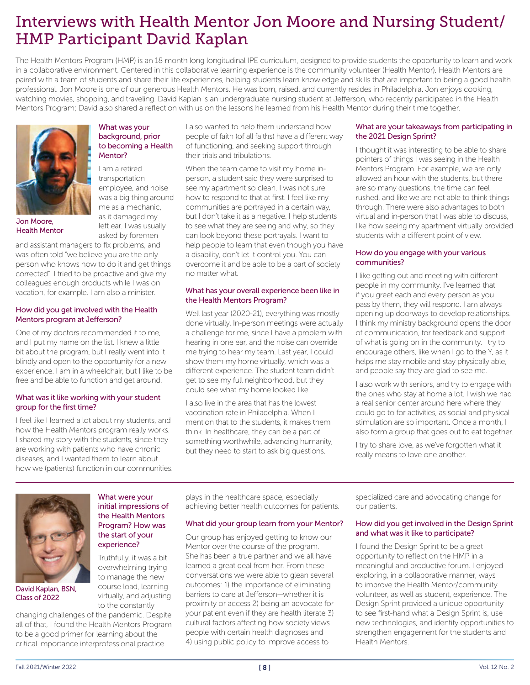# Interviews with Health Mentor Jon Moore and Nursing Student/ HMP Participant David Kaplan

The Health Mentors Program (HMP) is an 18 month long longitudinal IPE curriculum, designed to provide students the opportunity to learn and work in a collaborative environment. Centered in this collaborative learning experience is the community volunteer (Health Mentor). Health Mentors are paired with a team of students and share their life experiences, helping students learn knowledge and skills that are important to being a good health professional. Jon Moore is one of our generous Health Mentors. He was born, raised, and currently resides in Philadelphia. Jon enjoys cooking, watching movies, shopping, and traveling. David Kaplan is an undergraduate nursing student at Jefferson, who recently participated in the Health Mentors Program; David also shared a reflection with us on the lessons he learned from his Health Mentor during their time together.



Health Mentor

What was your background, prior to becoming a Health Mentor?

I am a retired transportation employee, and noise was a big thing around me as a mechanic, as it damaged my left ear. I was usually asked by foremen

and assistant managers to fix problems, and was often told "we believe you are the only person who knows how to do it and get things corrected". I tried to be proactive and give my colleagues enough products while I was on

#### How did you get involved with the Health Mentors program at Jefferson?

vacation, for example. I am also a minister.

One of my doctors recommended it to me, and I put my name on the list. I knew a little bit about the program, but I really went into it blindly and open to the opportunity for a new experience. I am in a wheelchair, but I like to be free and be able to function and get around.

#### What was it like working with your student group for the first time?

I feel like I learned a lot about my students, and how the Health Mentors program really works. I shared my story with the students, since they are working with patients who have chronic diseases, and I wanted them to learn about how we (patients) function in our communities. I also wanted to help them understand how people of faith (of all faiths) have a different way of functioning, and seeking support through their trials and tribulations.

When the team came to visit my home inperson, a student said they were surprised to see my apartment so clean. I was not sure how to respond to that at first. I feel like my communities are portrayed in a certain way, but I don't take it as a negative. I help students to see what they are seeing and why, so they can look beyond these portrayals. I want to help people to learn that even though you have a disability, don't let it control you. You can overcome it and be able to be a part of society no matter what.

#### What has your overall experience been like in the Health Mentors Program?

Well last year (2020-21), everything was mostly done virtually. In-person meetings were actually a challenge for me, since I have a problem with hearing in one ear, and the noise can override me trying to hear my team. Last year, I could show them my home virtually, which was a different experience. The student team didn't get to see my full neighborhood, but they could see what my home looked like.

I also live in the area that has the lowest vaccination rate in Philadelphia. When I mention that to the students, it makes them think. In healthcare, they can be a part of something worthwhile, advancing humanity, but they need to start to ask big questions.

#### What are your takeaways from participating in the 2021 Design Sprint?

I thought it was interesting to be able to share pointers of things I was seeing in the Health Mentors Program. For example, we are only allowed an hour with the students, but there are so many questions, the time can feel rushed, and like we are not able to think things through. There were also advantages to both virtual and in-person that I was able to discuss, like how seeing my apartment virtually provided students with a different point of view.

#### How do you engage with your various communities?

I like getting out and meeting with different people in my community. I've learned that if you greet each and every person as you pass by them, they will respond. I am always opening up doorways to develop relationships. I think my ministry background opens the door of communication, for feedback and support of what is going on in the community. I try to encourage others, like when I go to the Y, as it helps me stay mobile and stay physically able, and people say they are glad to see me.

I also work with seniors, and try to engage with the ones who stay at home a lot. I wish we had a real senior center around here where they could go to for activities, as social and physical stimulation are so important. Once a month, I also form a group that goes out to eat together.

I try to share love, as we've forgotten what it really means to love one another.



David Kaplan, BSN, Class of 2022

#### initial impressions of the Health Mentors Program? How was the start of your experience? Truthfully, it was a bit

What were your

overwhelming trying to manage the new course load, learning virtually, and adjusting to the constantly

changing challenges of the pandemic. Despite all of that, I found the Health Mentors Program to be a good primer for learning about the critical importance interprofessional practice

plays in the healthcare space, especially achieving better health outcomes for patients.

#### What did your group learn from your Mentor?

Our group has enjoyed getting to know our Mentor over the course of the program. She has been a true partner and we all have learned a great deal from her. From these conversations we were able to glean several outcomes: 1) the importance of eliminating barriers to care at Jefferson—whether it is proximity or access 2) being an advocate for your patient even if they are health literate 3) cultural factors affecting how society views people with certain health diagnoses and 4) using public policy to improve access to

specialized care and advocating change for our patients.

#### How did you get involved in the Design Sprint and what was it like to participate?

I found the Design Sprint to be a great opportunity to reflect on the HMP in a meaningful and productive forum. I enjoyed exploring, in a collaborative manner, ways to improve the Health Mentor/community volunteer, as well as student, experience. The Design Sprint provided a unique opportunity to see first-hand what a Design Sprint is, use new technologies, and identify opportunities to strengthen engagement for the students and Health Mentors.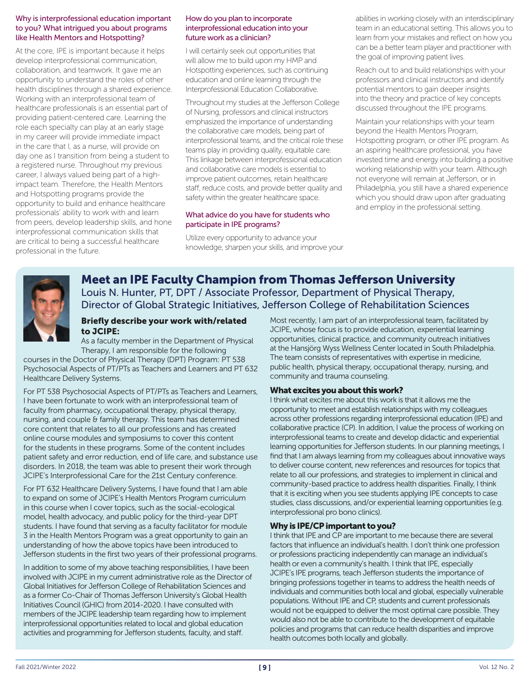#### Why is interprofessional education important to you? What intrigued you about programs like Health Mentors and Hotspotting?

At the core, IPE is important because it helps develop interprofessional communication, collaboration, and teamwork. It gave me an opportunity to understand the roles of other health disciplines through a shared experience. Working with an interprofessional team of healthcare professionals is an essential part of providing patient-centered care. Learning the role each specialty can play at an early stage in my career will provide immediate impact in the care that I, as a nurse, will provide on day one as I transition from being a student to a registered nurse. Throughout my previous career, I always valued being part of a highimpact team. Therefore, the Health Mentors and Hotspotting programs provide the opportunity to build and enhance healthcare professionals' ability to work with and learn from peers, develop leadership skills, and hone interprofessional communication skills that are critical to being a successful healthcare professional in the future.

#### How do you plan to incorporate interprofessional education into your future work as a clinician?

I will certainly seek out opportunities that will allow me to build upon my HMP and Hotspotting experiences, such as continuing education and online learning through the Interprofessional Education Collaborative.

Throughout my studies at the Jefferson College of Nursing, professors and clinical instructors emphasized the importance of understanding the collaborative care models, being part of interprofessional teams, and the critical role these teams play in providing quality, equitable care. This linkage between interprofessional education and collaborative care models is essential to improve patient outcomes, retain healthcare staff, reduce costs, and provide better quality and safety within the greater healthcare space.

#### What advice do you have for students who participate in IPE programs?

Utilize every opportunity to advance your knowledge, sharpen your skills, and improve your abilities in working closely with an interdisciplinary team in an educational setting. This allows you to learn from your mistakes and reflect on how you can be a better team player and practitioner with the goal of improving patient lives.

Reach out to and build relationships with your professors and clinical instructors and identify potential mentors to gain deeper insights into the theory and practice of key concepts discussed throughout the IPE programs.

Maintain your relationships with your team beyond the Health Mentors Program, Hotspotting program, or other IPE program. As an aspiring healthcare professional, you have invested time and energy into building a positive working relationship with your team. Although not everyone will remain at Jefferson, or in Philadelphia, you still have a shared experience which you should draw upon after graduating and employ in the professional setting.



#### Meet an IPE Faculty Champion from Thomas Jefferson University Louis N. Hunter, PT, DPT / Associate Professor, Department of Physical Therapy, Director of Global Strategic Initiatives, Jefferson College of Rehabilitation Sciences

#### Briefly describe your work with/related to JCIPE:

As a faculty member in the Department of Physical Therapy, I am responsible for the following

courses in the Doctor of Physical Therapy (DPT) Program: PT 538 Psychosocial Aspects of PT/PTs as Teachers and Learners and PT 632 Healthcare Delivery Systems.

For PT 538 Psychosocial Aspects of PT/PTs as Teachers and Learners, I have been fortunate to work with an interprofessional team of faculty from pharmacy, occupational therapy, physical therapy, nursing, and couple & family therapy. This team has determined core content that relates to all our professions and has created online course modules and symposiums to cover this content for the students in these programs. Some of the content includes patient safety and error reduction, end of life care, and substance use disorders. In 2018, the team was able to present their work through JCIPE's Interprofessional Care for the 21st Century conference.

For PT 632 Healthcare Delivery Systems, I have found that I am able to expand on some of JCIPE's Health Mentors Program curriculum in this course when I cover topics, such as the social-ecological model, health advocacy, and public policy for the third-year DPT students. I have found that serving as a faculty facilitator for module 3 in the Health Mentors Program was a great opportunity to gain an understanding of how the above topics have been introduced to Jefferson students in the first two years of their professional programs.

In addition to some of my above teaching responsibilities, I have been involved with JCIPE in my current administrative role as the Director of Global Initiatives for Jefferson College of Rehabilitation Sciences and as a former Co-Chair of Thomas Jefferson University's Global Health Initiatives Council (GHIC) from 2014-2020. I have consulted with members of the JCIPE leadership team regarding how to implement interprofessional opportunities related to local and global education activities and programming for Jefferson students, faculty, and staff.

Most recently, I am part of an interprofessional team, facilitated by JCIPE, whose focus is to provide education, experiential learning opportunities, clinical practice, and community outreach initiatives at the Hansjörg Wyss Wellness Center located in South Philadelphia. The team consists of representatives with expertise in medicine, public health, physical therapy, occupational therapy, nursing, and community and trauma counseling.

#### What excites you about this work?

I think what excites me about this work is that it allows me the opportunity to meet and establish relationships with my colleagues across other professions regarding interprofessional education (IPE) and collaborative practice (CP). In addition, I value the process of working on interprofessional teams to create and develop didactic and experiential learning opportunities for Jefferson students. In our planning meetings, I find that I am always learning from my colleagues about innovative ways to deliver course content, new references and resources for topics that relate to all our professions, and strategies to implement in clinical and community-based practice to address health disparities. Finally, I think that it is exciting when you see students applying IPE concepts to case studies, class discussions, and/or experiential learning opportunities (e.g. interprofessional pro bono clinics).

#### Why is IPE/CP important to you?

I think that IPE and CP are important to me because there are several factors that influence an individual's health. I don't think one profession or professions practicing independently can manage an individual's health or even a community's health. I think that IPE, especially JCIPE's IPE programs, teach Jefferson students the importance of bringing professions together in teams to address the health needs of individuals and communities both local and global, especially vulnerable populations. Without IPE and CP, students and current professionals would not be equipped to deliver the most optimal care possible. They would also not be able to contribute to the development of equitable policies and programs that can reduce health disparities and improve health outcomes both locally and globally.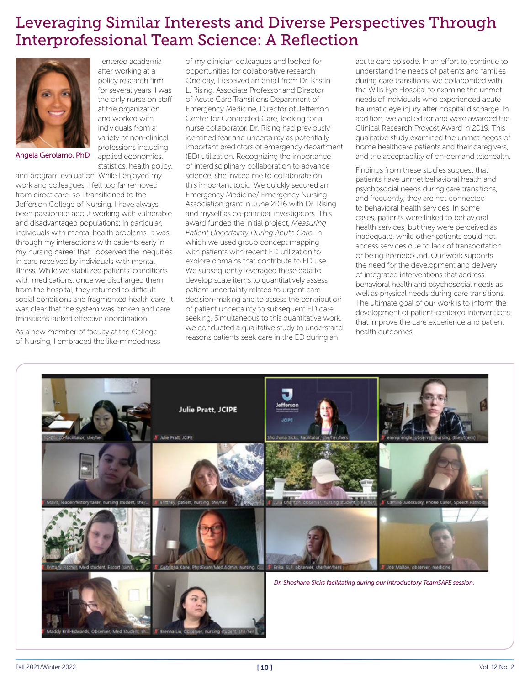# Leveraging Similar Interests and Diverse Perspectives Through Interprofessional Team Science: A Reflection



Angela Gerolamo, PhD

and program evaluation. While I enjoyed my work and colleagues, I felt too far removed from direct care, so I transitioned to the Jefferson College of Nursing. I have always been passionate about working with vulnerable and disadvantaged populations: in particular, individuals with mental health problems. It was through my interactions with patients early in my nursing career that I observed the inequities in care received by individuals with mental illness. While we stabilized patients' conditions with medications, once we discharged them from the hospital, they returned to difficult social conditions and fragmented health care. It was clear that the system was broken and care transitions lacked effective coordination.

As a new member of faculty at the College of Nursing, I embraced the like-mindedness

I entered academia after working at a policy research firm for several years. I was the only nurse on staff at the organization and worked with individuals from a variety of non-clinical professions including applied economics, statistics, health policy, of my clinician colleagues and looked for opportunities for collaborative research.

One day, I received an email from Dr. Kristin L. Rising, Associate Professor and Director of Acute Care Transitions Department of Emergency Medicine, Director of Jefferson Center for Connected Care, looking for a nurse collaborator. Dr. Rising had previously identified fear and uncertainty as potentially important predictors of emergency department (ED) utilization. Recognizing the importance of interdisciplinary collaboration to advance science, she invited me to collaborate on this important topic. We quickly secured an Emergency Medicine/ Emergency Nursing Association grant in June 2016 with Dr. Rising and myself as co-principal investigators. This award funded the initial project, *Measuring Patient Uncertainty During Acute Care*, in which we used group concept mapping with patients with recent ED utilization to explore domains that contribute to ED use. We subsequently leveraged these data to develop scale items to quantitatively assess patient uncertainty related to urgent care decision-making and to assess the contribution of patient uncertainty to subsequent ED care seeking. Simultaneous to this quantitative work, we conducted a qualitative study to understand reasons patients seek care in the ED during an

acute care episode. In an effort to continue to understand the needs of patients and families during care transitions, we collaborated with the Wills Eye Hospital to examine the unmet needs of individuals who experienced acute traumatic eye injury after hospital discharge. In addition, we applied for and were awarded the Clinical Research Provost Award in 2019. This qualitative study examined the unmet needs of home healthcare patients and their caregivers, and the acceptability of on-demand telehealth.

Findings from these studies suggest that patients have unmet behavioral health and psychosocial needs during care transitions, and frequently, they are not connected to behavioral health services. In some cases, patients were linked to behavioral health services, but they were perceived as inadequate, while other patients could not access services due to lack of transportation or being homebound. Our work supports the need for the development and delivery of integrated interventions that address behavioral health and psychosocial needs as well as physical needs during care transitions. The ultimate goal of our work is to inform the development of patient-centered interventions that improve the care experience and patient health outcomes.



Fall 2021/Winter 2022  $[10]$